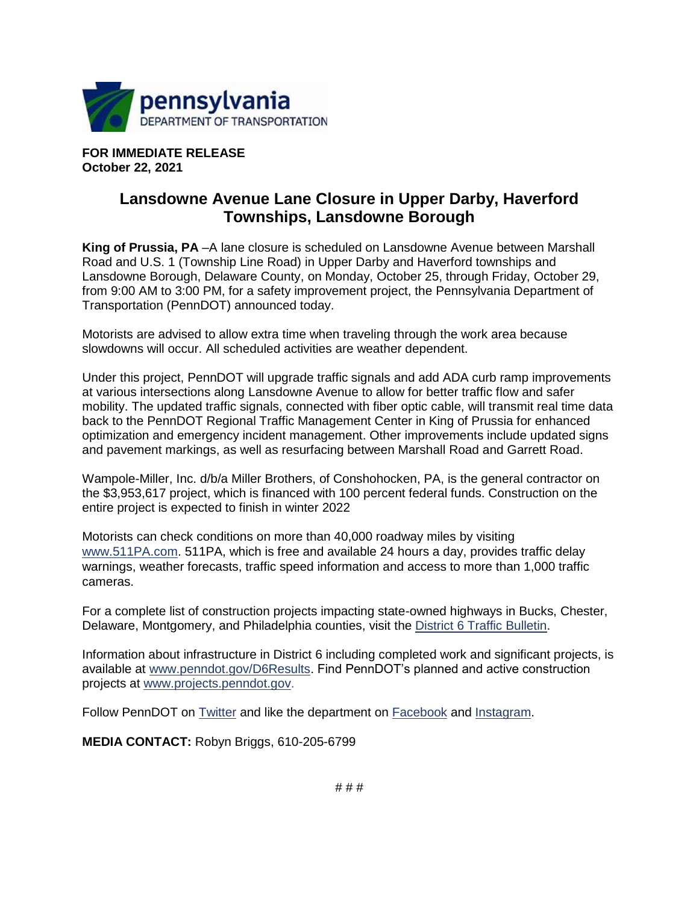

**FOR IMMEDIATE RELEASE October 22, 2021**

## **Lansdowne Avenue Lane Closure in Upper Darby, Haverford Townships, Lansdowne Borough**

**King of Prussia, PA** –A lane closure is scheduled on Lansdowne Avenue between Marshall Road and U.S. 1 (Township Line Road) in Upper Darby and Haverford townships and Lansdowne Borough, Delaware County, on Monday, October 25, through Friday, October 29, from 9:00 AM to 3:00 PM, for a safety improvement project, the Pennsylvania Department of Transportation (PennDOT) announced today.

Motorists are advised to allow extra time when traveling through the work area because slowdowns will occur. All scheduled activities are weather dependent.

Under this project, PennDOT will upgrade traffic signals and add ADA curb ramp improvements at various intersections along Lansdowne Avenue to allow for better traffic flow and safer mobility. The updated traffic signals, connected with fiber optic cable, will transmit real time data back to the PennDOT Regional Traffic Management Center in King of Prussia for enhanced optimization and emergency incident management. Other improvements include updated signs and pavement markings, as well as resurfacing between Marshall Road and Garrett Road.

Wampole-Miller, Inc. d/b/a Miller Brothers, of Conshohocken, PA, is the general contractor on the \$3,953,617 project, which is financed with 100 percent federal funds. Construction on the entire project is expected to finish in winter 2022

Motorists can check conditions on more than 40,000 roadway miles by visiting [www.511PA.com.](http://www.511pa.com/) 511PA, which is free and available 24 hours a day, provides traffic delay warnings, weather forecasts, traffic speed information and access to more than 1,000 traffic cameras.

For a complete list of construction projects impacting state-owned highways in Bucks, Chester, Delaware, Montgomery, and Philadelphia counties, visit the [District 6 Traffic Bulletin.](http://www.penndot.gov/District6TrafficBulletin)

Information about infrastructure in District 6 including completed work and significant projects, is available at [www.penndot.gov/D6Results.](http://www.penndot.gov/D6Results) Find PennDOT's planned and active construction projects at [www.projects.penndot.gov.](http://www.projects.penndot.gov/)

Follow PennDOT on [Twitter](https://twitter.com/511PAPhilly) and like the department on [Facebook](https://www.facebook.com/groups/phillypenndot) and [Instagram.](https://www.instagram.com/pennsylvaniadot/)

**MEDIA CONTACT:** Robyn Briggs, 610-205-6799